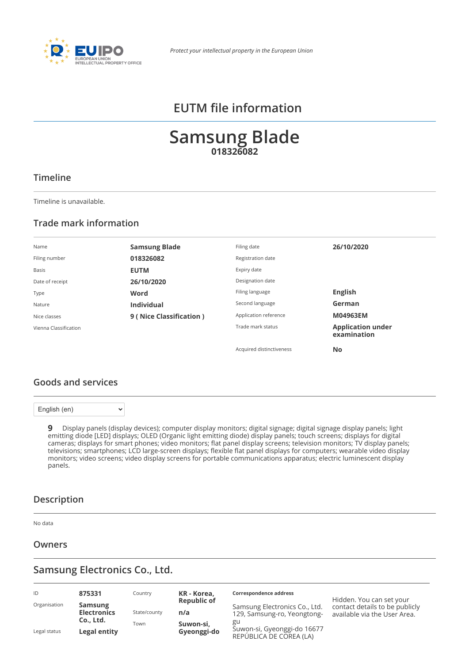

# **EUTM file information**

# **Samsung Blade 018326082**

### **Timeline**

Timeline is unavailable.

### **Trade mark information**

| Name                  | <b>Samsung Blade</b>    | Filing date              | 26/10/2020                              |
|-----------------------|-------------------------|--------------------------|-----------------------------------------|
| Filing number         | 018326082               | Registration date        |                                         |
| Basis                 | <b>EUTM</b>             | Expiry date              |                                         |
| Date of receipt       | 26/10/2020              | Designation date         |                                         |
| Type                  | Word                    | Filing language          | <b>English</b>                          |
| Nature                | <b>Individual</b>       | Second language          | German                                  |
| Nice classes          | 9 (Nice Classification) | Application reference    | M04963EM                                |
| Vienna Classification |                         | Trade mark status        | <b>Application under</b><br>examination |
|                       |                         | Acquired distinctiveness | <b>No</b>                               |

### **Goods and services**

English (en)

 $\ddot{\phantom{1}}$ 

**9** Display panels (display devices); computer display monitors; digital signage; digital signage display panels; light emitting diode [LED] displays; OLED (Organic light emitting diode) display panels; touch screens; displays for digital cameras; displays for smart phones; video monitors; flat panel display screens; television monitors; TV display panels; televisions; smartphones; LCD large-screen displays; flexible flat panel displays for computers; wearable video display monitors; video screens; video display screens for portable communications apparatus; electric luminescent display panels.

### **Description**

No data

#### **Owners**

# **Samsung Electronics Co., Ltd.**

| ID           | 875331                               | Country      | KR - Korea,               | Correspondence address                                       | Hidden. You can set your                                       |
|--------------|--------------------------------------|--------------|---------------------------|--------------------------------------------------------------|----------------------------------------------------------------|
| Organisation | <b>Samsung</b><br><b>Electronics</b> | State/county | <b>Republic of</b><br>n/a | Samsung Electronics Co., Ltd.<br>129, Samsung-ro, Yeongtong- | contact details to be publicly<br>available via the User Area. |
| Legal status | Co., Ltd.<br>Legal entity            | Town         | Suwon-si,<br>Gyeonggi-do  | gu<br>Suwon-si, Gyeonggi-do 16677<br>REPÚBLICA DE COREA (LA) |                                                                |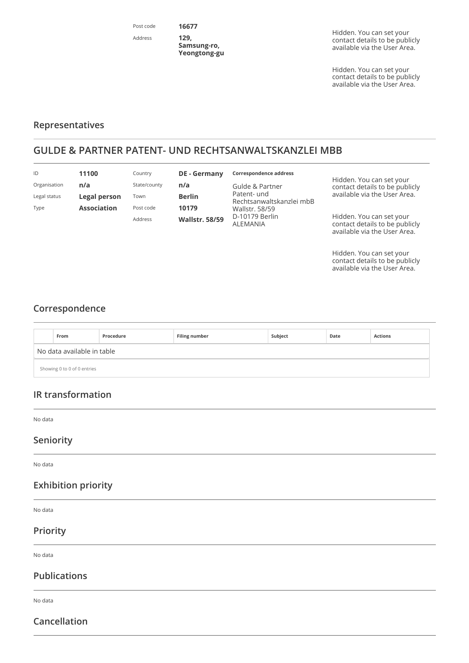Post code Address

Hidden. You can set your contact details to be publicly available via the [User Area.](https://euipo.europa.eu/ohimportal/web/guest/login)

Hidden. You can set your contact details to be publicly available via the [User Area.](https://euipo.europa.eu/ohimportal/web/guest/login)

### **Representatives**

# **GULDE & PARTNER PATENT- UND RECHTSANWALTSKANZLEI MBB**

**16677 129, Samsung-ro, Yeongtong-gu**

| ID           | 11100              | Country      | <b>DE</b> - Germany   | Correspondence address                  |                                                                                            |
|--------------|--------------------|--------------|-----------------------|-----------------------------------------|--------------------------------------------------------------------------------------------|
| Organisation | n/a                | State/county | n/a                   | Gulde & Partner                         | Hidden. You can set your<br>contact details to be publicly                                 |
| Legal status | Legal person       | Town         | <b>Berlin</b>         | Patent- und<br>Rechtsanwaltskanzlei mbB | available via the User Area.                                                               |
| Type         | <b>Association</b> | Post code    | 10179                 | <b>Wallstr. 58/59</b>                   |                                                                                            |
|              |                    | Address      | <b>Wallstr. 58/59</b> | D-10179 Berlin<br>ALEMANIA              | Hidden. You can set your<br>contact details to be publicly<br>available via the User Area. |

Hidden. You can set your contact details to be publicly available via the [User Area.](https://euipo.europa.eu/ohimportal/web/guest/login)

## **Correspondence**

|                             | From | Procedure | <b>Filing number</b> | Subject | Date | <b>Actions</b> |  |
|-----------------------------|------|-----------|----------------------|---------|------|----------------|--|
| No data available in table  |      |           |                      |         |      |                |  |
| Showing 0 to 0 of 0 entries |      |           |                      |         |      |                |  |

## **IR transformation**

No data

### **Seniority**

No data

### **Exhibition priority**

No data

### **Priority**

No data

### **Publications**

No data

## **Cancellation**